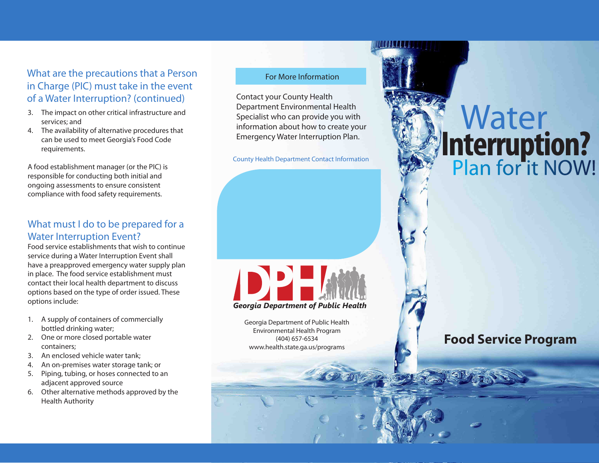### What are the precautions that a Person in Charge (PIC) must take in the event of a Water Interruption? (continued)

- 3. The impact on other critical infrastructure and services; and
- 4. The availability of alternative procedures that can be used to meet Georgia's Food Code requirements.

A food establishment manager (or the PIC) is responsible for conducting both initial and ongoing assessments to ensure consistent compliance with food safety requirements.

#### What must I do to be prepared for a Water Interruption Event?

Food service establishments that wish to continue service during a Water Interruption Event shall have a preapproved emergency water supply plan in place. The food service establishment must contact their local health department to discuss options based on the type of order issued. These options include:

- 1. A supply of containers of commercially bottled drinking water;
- 2. One or more closed portable water containers;
- 3. An enclosed vehicle water tank;
- 4. An on-premises water storage tank; or
- 5. Piping, tubing, or hoses connected to an adjacent approved source
- 6. Other alternative methods approved by the Health Authority

#### For More Information

Contact your County Health Department Environmental Health Specialist who can provide you with information about how to create your Emergency Water Interruption Plan.

County Health Department Contact Information



Georgia Department of Public Health Environmental Health Program (404) 657-6534 www.health.state.ga.us/programs

# Plan for it NOW! Water **Interruption?**

# **Food Service Program**